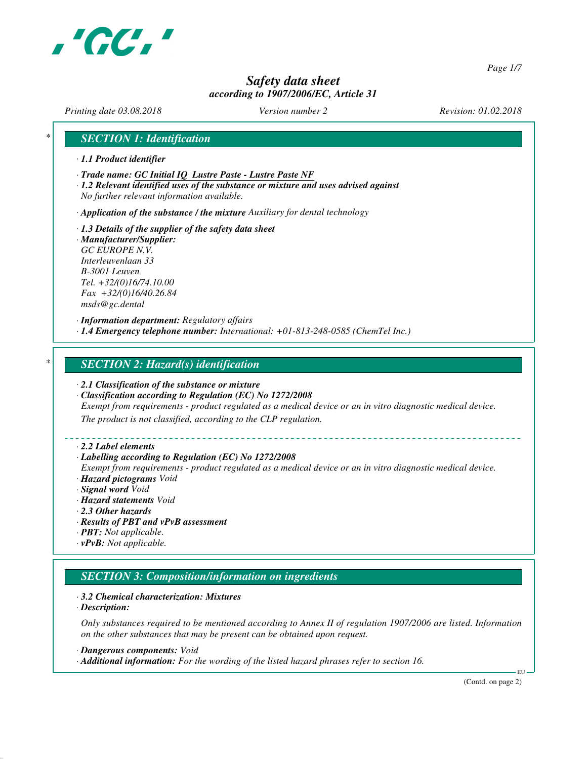

*Page 1/7*

# *Safety data sheet according to 1907/2006/EC, Article 31*

*Printing date 03.08.2018 Version number 2 Revision: 01.02.2018*

## *\* SECTION 1: Identification*

- *· 1.1 Product identifier*
- *· Trade name: GC Initial IQ Lustre Paste Lustre Paste NF*
- *· 1.2 Relevant identified uses of the substance or mixture and uses advised against No further relevant information available.*

*· Application of the substance / the mixture Auxiliary for dental technology*

*· 1.3 Details of the supplier of the safety data sheet · Manufacturer/Supplier: GC EUROPE N.V. Interleuvenlaan 33 B-3001 Leuven Tel. +32/(0)16/74.10.00 Fax +32/(0)16/40.26.84 msds@gc.dental*

*· Information department: Regulatory affairs · 1.4 Emergency telephone number: International: +01-813-248-0585 (ChemTel Inc.)*

## *\* SECTION 2: Hazard(s) identification*

- *· 2.1 Classification of the substance or mixture*
- *· Classification according to Regulation (EC) No 1272/2008*

*Exempt from requirements - product regulated as a medical device or an in vitro diagnostic medical device.*

*The product is not classified, according to the CLP regulation.*

#### *· 2.2 Label elements*

#### *· Labelling according to Regulation (EC) No 1272/2008*

*Exempt from requirements - product regulated as a medical device or an in vitro diagnostic medical device. · Hazard pictograms Void*

- *· Signal word Void*
- *· Hazard statements Void*
- *· 2.3 Other hazards*
- *· Results of PBT and vPvB assessment*
- *· PBT: Not applicable.*
- *· vPvB: Not applicable.*

## *SECTION 3: Composition/information on ingredients*

#### *· 3.2 Chemical characterization: Mixtures*

*· Description:*

*Only substances required to be mentioned according to Annex II of regulation 1907/2006 are listed. Information on the other substances that may be present can be obtained upon request.*

*· Dangerous components: Void*

*· Additional information: For the wording of the listed hazard phrases refer to section 16.*

(Contd. on page 2)

EU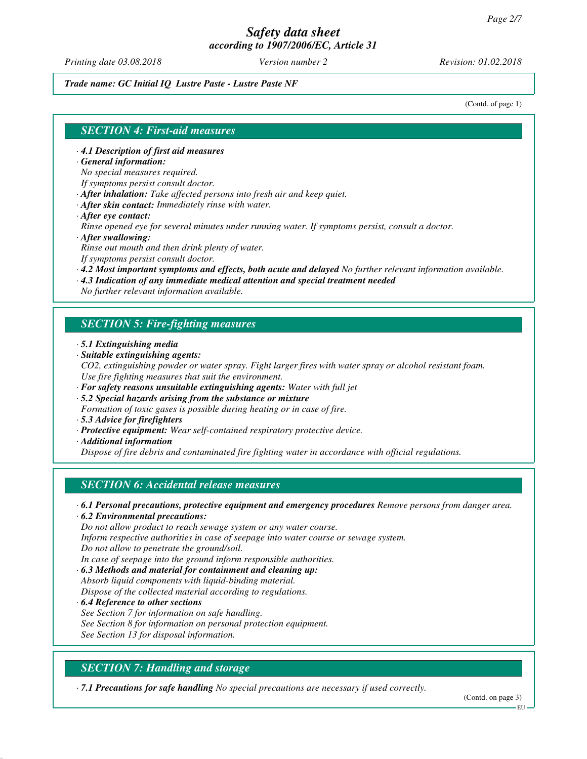*Printing date 03.08.2018 Version number 2 Revision: 01.02.2018*

#### *Trade name: GC Initial IQ Lustre Paste - Lustre Paste NF*

(Contd. of page 1)

## *SECTION 4: First-aid measures*

*· 4.1 Description of first aid measures*

*· General information:*

*No special measures required.*

*If symptoms persist consult doctor.*

*· After inhalation: Take affected persons into fresh air and keep quiet.*

- *· After skin contact: Immediately rinse with water.*
- *· After eye contact:*

*Rinse opened eye for several minutes under running water. If symptoms persist, consult a doctor. · After swallowing:*

*Rinse out mouth and then drink plenty of water.*

*If symptoms persist consult doctor.*

- *· 4.2 Most important symptoms and effects, both acute and delayed No further relevant information available.*
- *· 4.3 Indication of any immediate medical attention and special treatment needed*

*No further relevant information available.*

## *SECTION 5: Fire-fighting measures*

- *· 5.1 Extinguishing media*
- *· Suitable extinguishing agents:*
- *CO2, extinguishing powder or water spray. Fight larger fires with water spray or alcohol resistant foam. Use fire fighting measures that suit the environment.*
- *· For safety reasons unsuitable extinguishing agents: Water with full jet*
- *· 5.2 Special hazards arising from the substance or mixture*
- *Formation of toxic gases is possible during heating or in case of fire.*
- *· 5.3 Advice for firefighters*
- *· Protective equipment: Wear self-contained respiratory protective device.*
- *· Additional information*

*Dispose of fire debris and contaminated fire fighting water in accordance with official regulations.*

## *SECTION 6: Accidental release measures*

*· 6.1 Personal precautions, protective equipment and emergency procedures Remove persons from danger area.*

*· 6.2 Environmental precautions:*

*Do not allow product to reach sewage system or any water course.*

*Inform respective authorities in case of seepage into water course or sewage system.*

*Do not allow to penetrate the ground/soil.*

*In case of seepage into the ground inform responsible authorities.*

*· 6.3 Methods and material for containment and cleaning up: Absorb liquid components with liquid-binding material.*

*Dispose of the collected material according to regulations.*

*· 6.4 Reference to other sections See Section 7 for information on safe handling. See Section 8 for information on personal protection equipment. See Section 13 for disposal information.*

# *SECTION 7: Handling and storage*

*· 7.1 Precautions for safe handling No special precautions are necessary if used correctly.*

(Contd. on page 3)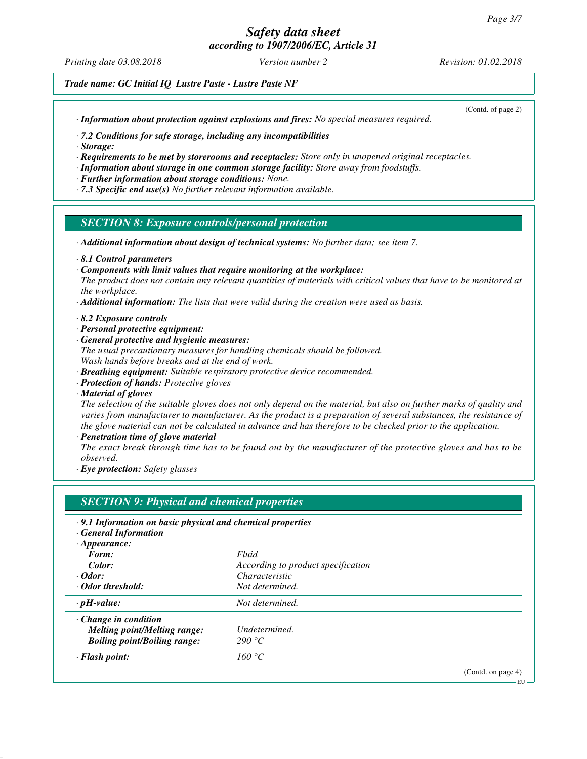# *Safety data sheet*

*according to 1907/2006/EC, Article 31*

*Printing date 03.08.2018 Version number 2 Revision: 01.02.2018*

*Trade name: GC Initial IQ Lustre Paste - Lustre Paste NF*

*· Information about protection against explosions and fires: No special measures required.*

(Contd. of page 2)

*· 7.2 Conditions for safe storage, including any incompatibilities*

*· Storage:*

*· Requirements to be met by storerooms and receptacles: Store only in unopened original receptacles.*

- *· Information about storage in one common storage facility: Store away from foodstuffs.*
- *· Further information about storage conditions: None.*
- *· 7.3 Specific end use(s) No further relevant information available.*

## *SECTION 8: Exposure controls/personal protection*

- *· Additional information about design of technical systems: No further data; see item 7.*
- *· 8.1 Control parameters*
- *· Components with limit values that require monitoring at the workplace:*
- *The product does not contain any relevant quantities of materials with critical values that have to be monitored at the workplace.*
- *· Additional information: The lists that were valid during the creation were used as basis.*
- *· 8.2 Exposure controls*
- *· Personal protective equipment:*
- *· General protective and hygienic measures:*
- *The usual precautionary measures for handling chemicals should be followed. Wash hands before breaks and at the end of work.*
- *· Breathing equipment: Suitable respiratory protective device recommended.*
- *· Protection of hands: Protective gloves*
- *· Material of gloves*

*The selection of the suitable gloves does not only depend on the material, but also on further marks of quality and varies from manufacturer to manufacturer. As the product is a preparation of several substances, the resistance of the glove material can not be calculated in advance and has therefore to be checked prior to the application.*

*· Penetration time of glove material*

*The exact break through time has to be found out by the manufacturer of the protective gloves and has to be observed.*

*· Eye protection: Safety glasses*

|                                                            | <b>SECTION 9: Physical and chemical properties</b> |                    |
|------------------------------------------------------------|----------------------------------------------------|--------------------|
| .9.1 Information on basic physical and chemical properties |                                                    |                    |
| <b>General Information</b>                                 |                                                    |                    |
| $\cdot$ Appearance:                                        |                                                    |                    |
| Form:                                                      | Fluid                                              |                    |
| Color:                                                     | According to product specification                 |                    |
| $\cdot$ Odor:                                              | <i>Characteristic</i>                              |                    |
| · Odor threshold:                                          | Not determined.                                    |                    |
| $\cdot$ pH-value:                                          | Not determined.                                    |                    |
| $\cdot$ Change in condition                                |                                                    |                    |
| <b>Melting point/Melting range:</b>                        | Undetermined.                                      |                    |
| <b>Boiling point/Boiling range:</b>                        | 290 °C                                             |                    |
| $\cdot$ Flash point:                                       | 160 °C                                             |                    |
|                                                            |                                                    | (Contd. on page 4) |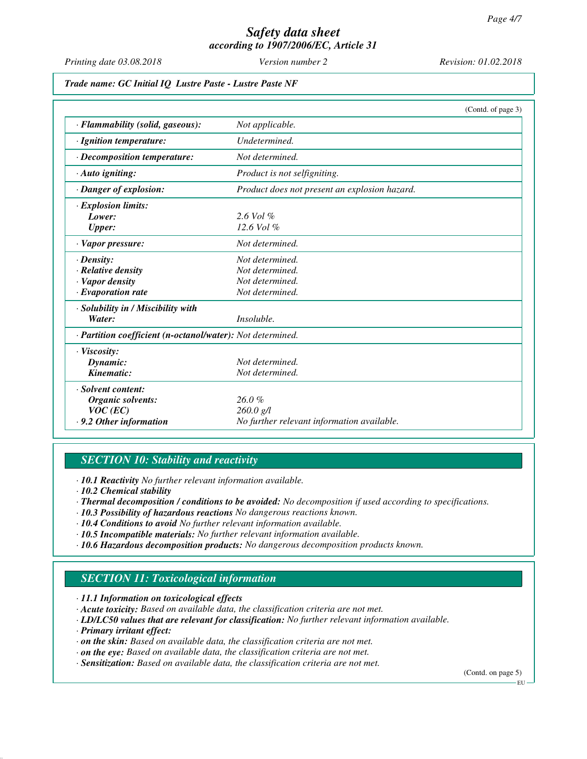*Printing date 03.08.2018 Version number 2 Revision: 01.02.2018*

*Trade name: GC Initial IQ Lustre Paste - Lustre Paste NF*

|                                                            |                                               | (Contd. of page 3) |
|------------------------------------------------------------|-----------------------------------------------|--------------------|
| · Flammability (solid, gaseous):                           | Not applicable.                               |                    |
| · Ignition temperature:                                    | Undetermined.                                 |                    |
| $\cdot$ Decomposition temperature:                         | Not determined.                               |                    |
| · Auto igniting:                                           | Product is not selfigniting.                  |                    |
| $\cdot$ Danger of explosion:                               | Product does not present an explosion hazard. |                    |
| · Explosion limits:                                        |                                               |                    |
| Lower:                                                     | $2.6$ Vol $%$                                 |                    |
| <b>Upper:</b>                                              | $12.6$ Vol $%$                                |                    |
| · Vapor pressure:                                          | Not determined.                               |                    |
| $\cdot$ Density:                                           | Not determined.                               |                    |
| $\cdot$ Relative density                                   | Not determined.                               |                    |
| · Vapor density                                            | Not determined.                               |                    |
| $\cdot$ Evaporation rate                                   | Not determined.                               |                    |
| · Solubility in / Miscibility with                         |                                               |                    |
| Water:                                                     | <i>Insoluble.</i>                             |                    |
| · Partition coefficient (n-octanol/water): Not determined. |                                               |                    |
| $\cdot$ Viscosity:                                         |                                               |                    |
| Dynamic:                                                   | Not determined.                               |                    |
| Kinematic:                                                 | Not determined.                               |                    |
| · Solvent content:                                         |                                               |                    |
| Organic solvents:                                          | 26.0%                                         |                    |
| $VOC$ (EC)                                                 | $260.0$ g/l                                   |                    |
| $\cdot$ 9.2 Other information                              | No further relevant information available.    |                    |

# *SECTION 10: Stability and reactivity*

*· 10.1 Reactivity No further relevant information available.*

- *· 10.2 Chemical stability*
- *· Thermal decomposition / conditions to be avoided: No decomposition if used according to specifications.*
- *· 10.3 Possibility of hazardous reactions No dangerous reactions known.*
- *· 10.4 Conditions to avoid No further relevant information available.*
- *· 10.5 Incompatible materials: No further relevant information available.*
- *· 10.6 Hazardous decomposition products: No dangerous decomposition products known.*

# *SECTION 11: Toxicological information*

- *· 11.1 Information on toxicological effects*
- *· Acute toxicity: Based on available data, the classification criteria are not met.*
- *· LD/LC50 values that are relevant for classification: No further relevant information available.*
- *· Primary irritant effect:*
- *· on the skin: Based on available data, the classification criteria are not met.*
- *· on the eye: Based on available data, the classification criteria are not met.*
- *· Sensitization: Based on available data, the classification criteria are not met.*

(Contd. on page 5)

EU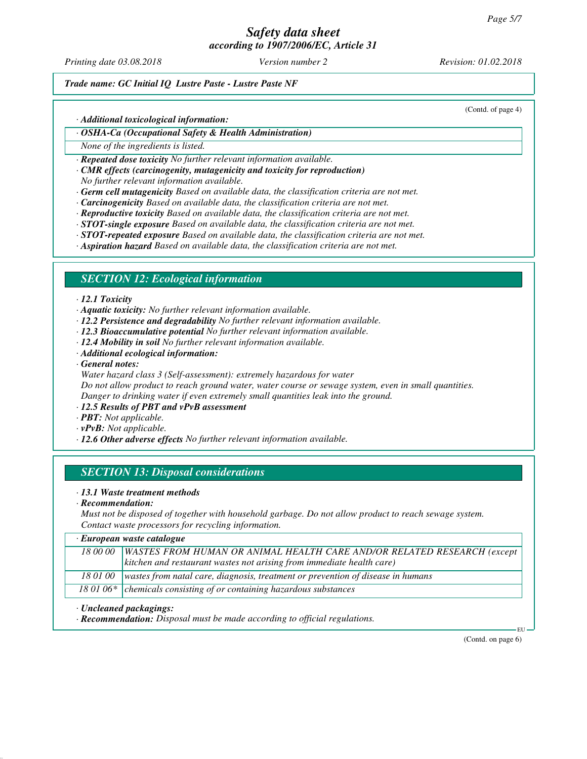*Printing date 03.08.2018 Version number 2 Revision: 01.02.2018*

(Contd. of page 4)

## *Trade name: GC Initial IQ Lustre Paste - Lustre Paste NF*

#### *· Additional toxicological information:*

#### *· OSHA-Ca (Occupational Safety & Health Administration)*

*None of the ingredients is listed.*

*· Repeated dose toxicity No further relevant information available.*

*· CMR effects (carcinogenity, mutagenicity and toxicity for reproduction)*

*No further relevant information available.*

*· Germ cell mutagenicity Based on available data, the classification criteria are not met.*

- *· Carcinogenicity Based on available data, the classification criteria are not met.*
- *· Reproductive toxicity Based on available data, the classification criteria are not met.*
- *· STOT-single exposure Based on available data, the classification criteria are not met.*
- *· STOT-repeated exposure Based on available data, the classification criteria are not met.*
- *· Aspiration hazard Based on available data, the classification criteria are not met.*

## *SECTION 12: Ecological information*

#### *· 12.1 Toxicity*

*· Aquatic toxicity: No further relevant information available.*

- *· 12.2 Persistence and degradability No further relevant information available.*
- *· 12.3 Bioaccumulative potential No further relevant information available.*
- *· 12.4 Mobility in soil No further relevant information available.*
- *· Additional ecological information:*
- *· General notes:*

*Water hazard class 3 (Self-assessment): extremely hazardous for water Do not allow product to reach ground water, water course or sewage system, even in small quantities. Danger to drinking water if even extremely small quantities leak into the ground.*

- *· 12.5 Results of PBT and vPvB assessment*
- *· PBT: Not applicable.*
- *· vPvB: Not applicable.*

*· 12.6 Other adverse effects No further relevant information available.*

# *SECTION 13: Disposal considerations*

#### *· 13.1 Waste treatment methods*

*· Recommendation:*

*Must not be disposed of together with household garbage. Do not allow product to reach sewage system. Contact waste processors for recycling information.*

#### *· European waste catalogue*

| 18 00 00   WASTES FROM HUMAN OR ANIMAL HEALTH CARE AND/OR RELATED RESEARCH (except         |
|--------------------------------------------------------------------------------------------|
| $\vert$ kitchen and restaurant wastes not arising from immediate health care)              |
| 18 01 00   wastes from natal care, diagnosis, treatment or prevention of disease in humans |
|                                                                                            |
| 18 01 06* $\vert$ chemicals consisting of or containing hazardous substances               |
|                                                                                            |

#### *· Uncleaned packagings:*

*· Recommendation: Disposal must be made according to official regulations.*

(Contd. on page 6)

EU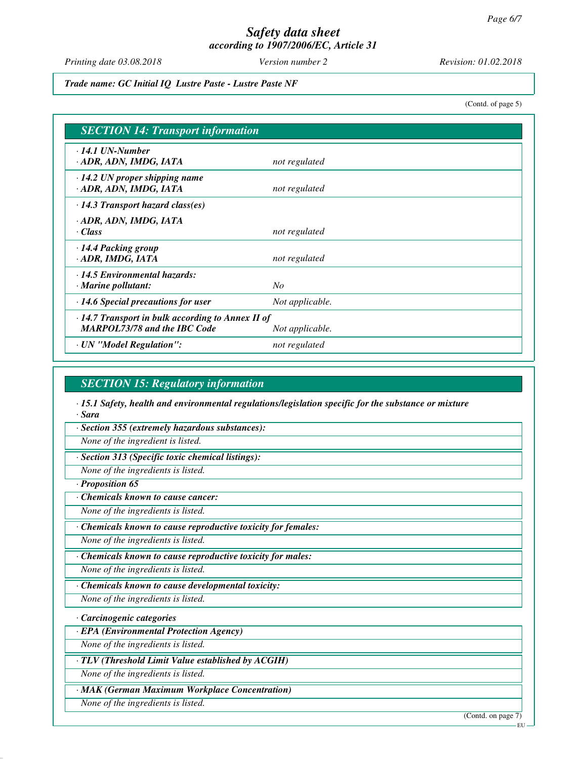*Printing date 03.08.2018 Version number 2 Revision: 01.02.2018*

*Trade name: GC Initial IQ Lustre Paste - Lustre Paste NF*

(Contd. of page 5)

| <b>SECTION 14: Transport information</b>                                                       |                 |  |
|------------------------------------------------------------------------------------------------|-----------------|--|
| $\cdot$ 14.1 UN-Number<br>· ADR, ADN, IMDG, IATA                                               | not regulated   |  |
| $\cdot$ 14.2 UN proper shipping name<br>· ADR, ADN, IMDG, IATA                                 | not regulated   |  |
| $\cdot$ 14.3 Transport hazard class(es)                                                        |                 |  |
| · ADR, ADN, IMDG, IATA<br>· Class                                                              | not regulated   |  |
| $\cdot$ 14.4 Packing group<br>· ADR, IMDG, IATA                                                | not regulated   |  |
| $\cdot$ 14.5 Environmental hazards:<br>$\cdot$ Marine pollutant:                               | $N_{O}$         |  |
| $\cdot$ 14.6 Special precautions for user                                                      | Not applicable. |  |
| $\cdot$ 14.7 Transport in bulk according to Annex II of<br><b>MARPOL73/78 and the IBC Code</b> | Not applicable. |  |
| · UN "Model Regulation":                                                                       | not regulated   |  |

## *SECTION 15: Regulatory information*

*· 15.1 Safety, health and environmental regulations/legislation specific for the substance or mixture · Sara*

*· Section 355 (extremely hazardous substances):*

*None of the ingredient is listed.*

*· Section 313 (Specific toxic chemical listings):*

*None of the ingredients is listed.*

*· Proposition 65*

*· Chemicals known to cause cancer:*

*None of the ingredients is listed.*

*· Chemicals known to cause reproductive toxicity for females:*

*None of the ingredients is listed.*

*· Chemicals known to cause reproductive toxicity for males:*

*None of the ingredients is listed.*

*· Chemicals known to cause developmental toxicity:*

*None of the ingredients is listed.*

*· Carcinogenic categories*

*· EPA (Environmental Protection Agency)*

*None of the ingredients is listed.*

*· TLV (Threshold Limit Value established by ACGIH)*

*None of the ingredients is listed.*

*· MAK (German Maximum Workplace Concentration)*

*None of the ingredients is listed.*

(Contd. on page 7)

**EU**